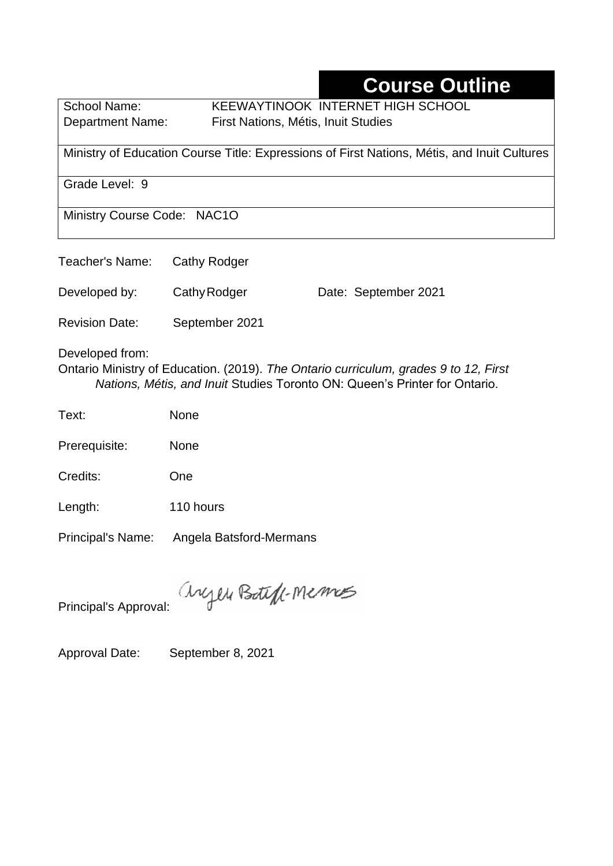# **Course Outline**

School Name: KEEWAYTINOOK INTERNET HIGH SCHOOL Department Name:First Nations, Métis, Inuit Studies

Ministry of Education Course Title: Expressions of First Nations, Métis, and Inuit Cultures

Grade Level: 9

Ministry Course Code: NAC1O

| Teacher's Name: Cathy Rodger |                |                      |
|------------------------------|----------------|----------------------|
| Developed by:                | Cathy Rodger   | Date: September 2021 |
| <b>Revision Date:</b>        | September 2021 |                      |

Developed from:

Ontario Ministry of Education. (2019). *The Ontario curriculum, grades 9 to 12, First Nations, Métis, and Inuit* Studies Toronto ON: Queen's Printer for Ontario.

Text: None

Prerequisite: None

Credits: One

Length: 110 hours

Principal's Name: Angela Batsford-Mermans

anyen Boteff-Memos

Principal's Approval:

Approval Date: September 8, 2021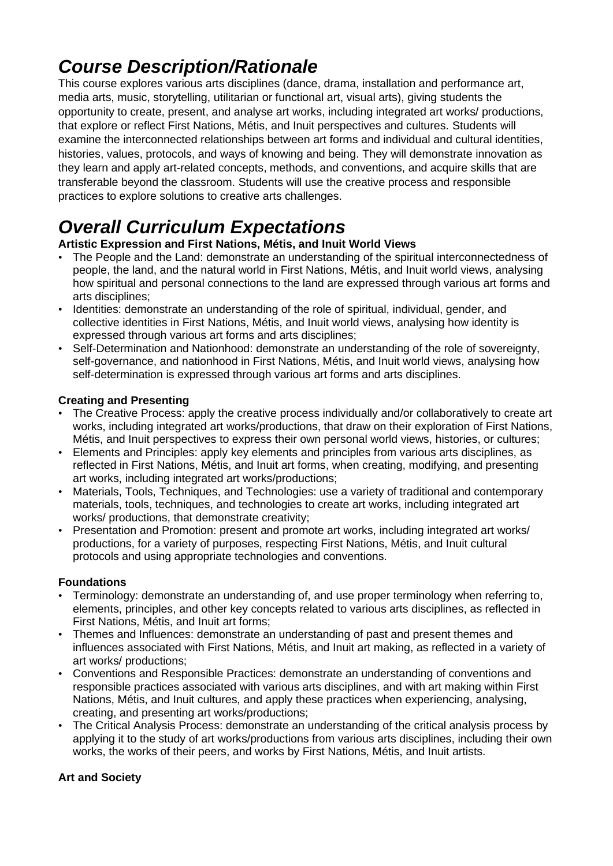# *Course Description/Rationale*

This course explores various arts disciplines (dance, drama, installation and performance art, media arts, music, storytelling, utilitarian or functional art, visual arts), giving students the opportunity to create, present, and analyse art works, including integrated art works/ productions, that explore or reflect First Nations, Métis, and Inuit perspectives and cultures. Students will examine the interconnected relationships between art forms and individual and cultural identities, histories, values, protocols, and ways of knowing and being. They will demonstrate innovation as they learn and apply art-related concepts, methods, and conventions, and acquire skills that are transferable beyond the classroom. Students will use the creative process and responsible practices to explore solutions to creative arts challenges.

# *Overall Curriculum Expectations*

#### **Artistic Expression and First Nations, Métis, and Inuit World Views**

- The People and the Land: demonstrate an understanding of the spiritual interconnectedness of people, the land, and the natural world in First Nations, Métis, and Inuit world views, analysing how spiritual and personal connections to the land are expressed through various art forms and arts disciplines;
- Identities: demonstrate an understanding of the role of spiritual, individual, gender, and collective identities in First Nations, Métis, and Inuit world views, analysing how identity is expressed through various art forms and arts disciplines;
- Self-Determination and Nationhood: demonstrate an understanding of the role of sovereignty, self-governance, and nationhood in First Nations, Métis, and Inuit world views, analysing how self-determination is expressed through various art forms and arts disciplines.

#### **Creating and Presenting**

- The Creative Process: apply the creative process individually and/or collaboratively to create art works, including integrated art works/productions, that draw on their exploration of First Nations, Métis, and Inuit perspectives to express their own personal world views, histories, or cultures;
- Elements and Principles: apply key elements and principles from various arts disciplines, as reflected in First Nations, Métis, and Inuit art forms, when creating, modifying, and presenting art works, including integrated art works/productions;
- Materials, Tools, Techniques, and Technologies: use a variety of traditional and contemporary materials, tools, techniques, and technologies to create art works, including integrated art works/ productions, that demonstrate creativity;
- Presentation and Promotion: present and promote art works, including integrated art works/ productions, for a variety of purposes, respecting First Nations, Métis, and Inuit cultural protocols and using appropriate technologies and conventions.

#### **Foundations**

- Terminology: demonstrate an understanding of, and use proper terminology when referring to, elements, principles, and other key concepts related to various arts disciplines, as reflected in First Nations, Métis, and Inuit art forms;
- Themes and Influences: demonstrate an understanding of past and present themes and influences associated with First Nations, Métis, and Inuit art making, as reflected in a variety of art works/ productions;
- Conventions and Responsible Practices: demonstrate an understanding of conventions and responsible practices associated with various arts disciplines, and with art making within First Nations, Métis, and Inuit cultures, and apply these practices when experiencing, analysing, creating, and presenting art works/productions;
- The Critical Analysis Process: demonstrate an understanding of the critical analysis process by applying it to the study of art works/productions from various arts disciplines, including their own works, the works of their peers, and works by First Nations, Métis, and Inuit artists.

#### **Art and Society**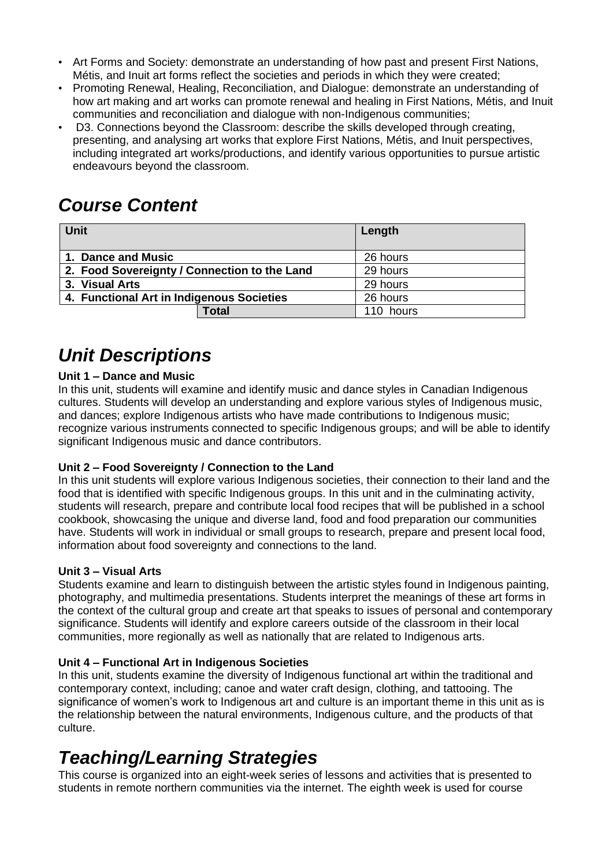- Art Forms and Society: demonstrate an understanding of how past and present First Nations, Métis, and Inuit art forms reflect the societies and periods in which they were created;
- Promoting Renewal, Healing, Reconciliation, and Dialogue: demonstrate an understanding of how art making and art works can promote renewal and healing in First Nations, Métis, and Inuit communities and reconciliation and dialogue with non-Indigenous communities;
- D3. Connections beyond the Classroom: describe the skills developed through creating, presenting, and analysing art works that explore First Nations, Métis, and Inuit perspectives, including integrated art works/productions, and identify various opportunities to pursue artistic endeavours beyond the classroom.

## *Course Content*

| <b>Unit</b>                                  | Length    |
|----------------------------------------------|-----------|
| 1. Dance and Music                           | 26 hours  |
| 2. Food Sovereignty / Connection to the Land | 29 hours  |
| 3. Visual Arts                               | 29 hours  |
| 4. Functional Art in Indigenous Societies    | 26 hours  |
| <b>Total</b>                                 | 110 hours |

## *Unit Descriptions*

#### **Unit 1 – Dance and Music**

In this unit, students will examine and identify music and dance styles in Canadian Indigenous cultures. Students will develop an understanding and explore various styles of Indigenous music, and dances; explore Indigenous artists who have made contributions to Indigenous music; recognize various instruments connected to specific Indigenous groups; and will be able to identify significant Indigenous music and dance contributors.

#### **Unit 2 – Food Sovereignty / Connection to the Land**

In this unit students will explore various Indigenous societies, their connection to their land and the food that is identified with specific Indigenous groups. In this unit and in the culminating activity, students will research, prepare and contribute local food recipes that will be published in a school cookbook, showcasing the unique and diverse land, food and food preparation our communities have. Students will work in individual or small groups to research, prepare and present local food, information about food sovereignty and connections to the land.

#### **Unit 3 – Visual Arts**

Students examine and learn to distinguish between the artistic styles found in Indigenous painting, photography, and multimedia presentations. Students interpret the meanings of these art forms in the context of the cultural group and create art that speaks to issues of personal and contemporary significance. Students will identify and explore careers outside of the classroom in their local communities, more regionally as well as nationally that are related to Indigenous arts.

#### **Unit 4 – Functional Art in Indigenous Societies**

In this unit, students examine the diversity of Indigenous functional art within the traditional and contemporary context, including; canoe and water craft design, clothing, and tattooing. The significance of women's work to Indigenous art and culture is an important theme in this unit as is the relationship between the natural environments, Indigenous culture, and the products of that culture.

### *Teaching/Learning Strategies*

This course is organized into an eight-week series of lessons and activities that is presented to students in remote northern communities via the internet. The eighth week is used for course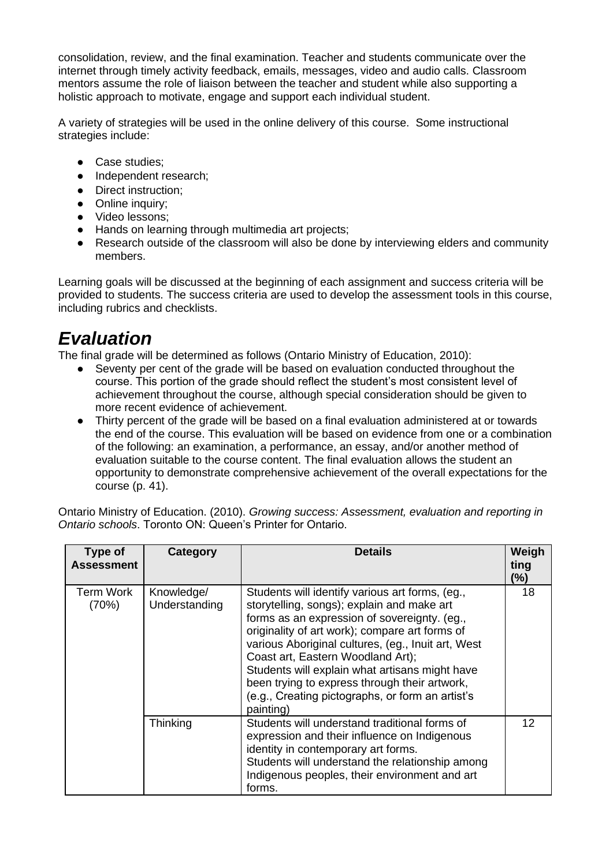consolidation, review, and the final examination. Teacher and students communicate over the internet through timely activity feedback, emails, messages, video and audio calls. Classroom mentors assume the role of liaison between the teacher and student while also supporting a holistic approach to motivate, engage and support each individual student.

A variety of strategies will be used in the online delivery of this course. Some instructional strategies include:

- Case studies:
- Independent research:
- Direct instruction;
- Online inquiry;
- Video lessons;
- Hands on learning through multimedia art projects;
- Research outside of the classroom will also be done by interviewing elders and community members.

Learning goals will be discussed at the beginning of each assignment and success criteria will be provided to students. The success criteria are used to develop the assessment tools in this course, including rubrics and checklists.

## *Evaluation*

The final grade will be determined as follows (Ontario Ministry of Education, 2010):

- Seventy per cent of the grade will be based on evaluation conducted throughout the course. This portion of the grade should reflect the student's most consistent level of achievement throughout the course, although special consideration should be given to more recent evidence of achievement.
- Thirty percent of the grade will be based on a final evaluation administered at or towards the end of the course. This evaluation will be based on evidence from one or a combination of the following: an examination, a performance, an essay, and/or another method of evaluation suitable to the course content. The final evaluation allows the student an opportunity to demonstrate comprehensive achievement of the overall expectations for the course (p. 41).

Ontario Ministry of Education. (2010). *Growing success: Assessment, evaluation and reporting in Ontario schools*. Toronto ON: Queen's Printer for Ontario.

| Type of<br><b>Assessment</b> | Category                    | <b>Details</b>                                                                                                                                                                                                                                                                                                                                                                                                                                                 | Weigh<br>ting<br>$(\%)$ |
|------------------------------|-----------------------------|----------------------------------------------------------------------------------------------------------------------------------------------------------------------------------------------------------------------------------------------------------------------------------------------------------------------------------------------------------------------------------------------------------------------------------------------------------------|-------------------------|
| Term Work<br>(70%)           | Knowledge/<br>Understanding | Students will identify various art forms, (eg.,<br>storytelling, songs); explain and make art<br>forms as an expression of sovereignty. (eg.,<br>originality of art work); compare art forms of<br>various Aboriginal cultures, (eg., Inuit art, West<br>Coast art, Eastern Woodland Art);<br>Students will explain what artisans might have<br>been trying to express through their artwork,<br>(e.g., Creating pictographs, or form an artist's<br>painting) | 18                      |
|                              | Thinking                    | Students will understand traditional forms of<br>expression and their influence on Indigenous<br>identity in contemporary art forms.<br>Students will understand the relationship among<br>Indigenous peoples, their environment and art<br>forms.                                                                                                                                                                                                             | 12                      |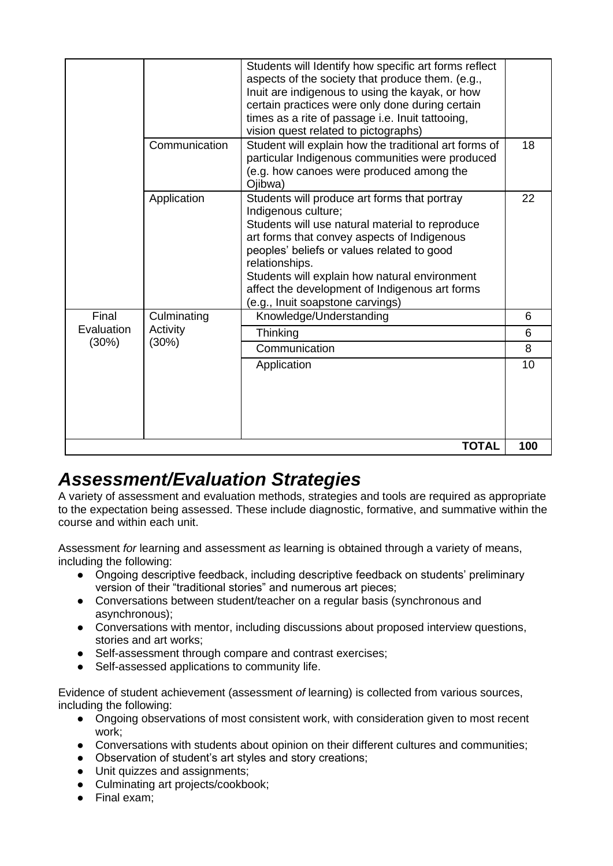|            |               | Students will Identify how specific art forms reflect<br>aspects of the society that produce them. (e.g.,<br>Inuit are indigenous to using the kayak, or how<br>certain practices were only done during certain<br>times as a rite of passage i.e. Inuit tattooing,<br>vision quest related to pictographs)                                                                  |     |
|------------|---------------|------------------------------------------------------------------------------------------------------------------------------------------------------------------------------------------------------------------------------------------------------------------------------------------------------------------------------------------------------------------------------|-----|
|            | Communication | Student will explain how the traditional art forms of<br>particular Indigenous communities were produced<br>(e.g. how canoes were produced among the<br>Ojibwa)                                                                                                                                                                                                              | 18  |
|            | Application   | Students will produce art forms that portray<br>Indigenous culture;<br>Students will use natural material to reproduce<br>art forms that convey aspects of Indigenous<br>peoples' beliefs or values related to good<br>relationships.<br>Students will explain how natural environment<br>affect the development of Indigenous art forms<br>(e.g., Inuit soapstone carvings) | 22  |
| Final      | Culminating   | Knowledge/Understanding                                                                                                                                                                                                                                                                                                                                                      | 6   |
| Evaluation | Activity      | Thinking                                                                                                                                                                                                                                                                                                                                                                     | 6   |
| (30%)      | (30%)         | Communication                                                                                                                                                                                                                                                                                                                                                                | 8   |
|            |               | Application                                                                                                                                                                                                                                                                                                                                                                  | 10  |
|            |               | <b>TOTAL</b>                                                                                                                                                                                                                                                                                                                                                                 | 100 |

## *Assessment/Evaluation Strategies*

A variety of assessment and evaluation methods, strategies and tools are required as appropriate to the expectation being assessed. These include diagnostic, formative, and summative within the course and within each unit.

Assessment *for* learning and assessment *as* learning is obtained through a variety of means, including the following:

- Ongoing descriptive feedback, including descriptive feedback on students' preliminary version of their "traditional stories" and numerous art pieces;
- Conversations between student/teacher on a regular basis (synchronous and asynchronous);
- Conversations with mentor, including discussions about proposed interview questions, stories and art works;
- Self-assessment through compare and contrast exercises;
- Self-assessed applications to community life.

Evidence of student achievement (assessment *of* learning) is collected from various sources, including the following:

- Ongoing observations of most consistent work, with consideration given to most recent work;
- Conversations with students about opinion on their different cultures and communities;
- Observation of student's art styles and story creations;
- Unit quizzes and assignments;
- Culminating art projects/cookbook:
- Final exam: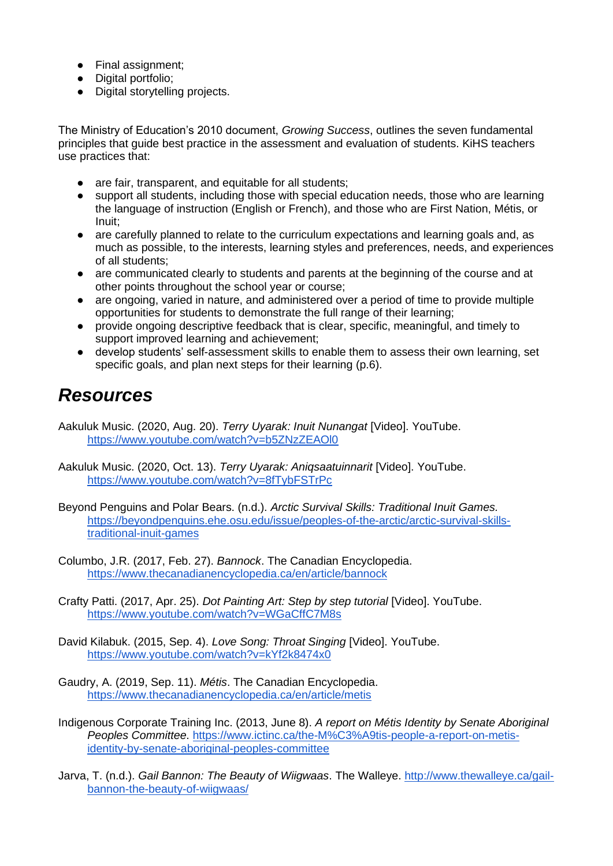- Final assignment;
- Digital portfolio;
- Digital storytelling projects.

The Ministry of Education's 2010 document, *Growing Success*, outlines the seven fundamental principles that guide best practice in the assessment and evaluation of students. KiHS teachers use practices that:

- are fair, transparent, and equitable for all students;
- support all students, including those with special education needs, those who are learning the language of instruction (English or French), and those who are First Nation, Métis, or Inuit;
- are carefully planned to relate to the curriculum expectations and learning goals and, as much as possible, to the interests, learning styles and preferences, needs, and experiences of all students;
- are communicated clearly to students and parents at the beginning of the course and at other points throughout the school year or course;
- are ongoing, varied in nature, and administered over a period of time to provide multiple opportunities for students to demonstrate the full range of their learning;
- provide ongoing descriptive feedback that is clear, specific, meaningful, and timely to support improved learning and achievement;
- develop students' self-assessment skills to enable them to assess their own learning, set specific goals, and plan next steps for their learning (p.6).

### *Resources*

Aakuluk Music. (2020, Aug. 20). *Terry Uyarak: Inuit Nunangat* [Video]. YouTube. <https://www.youtube.com/watch?v=b5ZNzZEAOl0>

- Aakuluk Music. (2020, Oct. 13). *Terry Uyarak: Aniqsaatuinnarit* [Video]. YouTube. <https://www.youtube.com/watch?v=8fTybFSTrPc>
- Beyond Penguins and Polar Bears. (n.d.). *Arctic Survival Skills: Traditional Inuit Games.*  [https://beyondpenguins.ehe.osu.edu/issue/peoples-of-the-arctic/arctic-survival-skills](https://beyondpenguins.ehe.osu.edu/issue/peoples-of-the-arctic/arctic-survival-skills-traditional-inuit-games)[traditional-inuit-games](https://beyondpenguins.ehe.osu.edu/issue/peoples-of-the-arctic/arctic-survival-skills-traditional-inuit-games)
- Columbo, J.R. (2017, Feb. 27). *Bannock*. The Canadian Encyclopedia. <https://www.thecanadianencyclopedia.ca/en/article/bannock>
- Crafty Patti. (2017, Apr. 25). *Dot Painting Art: Step by step tutorial* [Video]. YouTube. <https://www.youtube.com/watch?v=WGaCffC7M8s>
- David Kilabuk. (2015, Sep. 4). *Love Song: Throat Singing* [Video]. YouTube. <https://www.youtube.com/watch?v=kYf2k8474x0>
- Gaudry, A. (2019, Sep. 11). *Métis*. The Canadian Encyclopedia. <https://www.thecanadianencyclopedia.ca/en/article/metis>
- Indigenous Corporate Training Inc. (2013, June 8). *A report on Métis Identity by Senate Aboriginal Peoples Committee*. [https://www.ictinc.ca/the-M%C3%A9tis-people-a-report-on-metis](https://www.ictinc.ca/the-M%C3%A9tis-people-a-report-on-metis-identity-by-senate-aboriginal-peoples-committee)[identity-by-senate-aboriginal-peoples-committee](https://www.ictinc.ca/the-M%C3%A9tis-people-a-report-on-metis-identity-by-senate-aboriginal-peoples-committee)
- Jarva, T. (n.d.). *Gail Bannon: The Beauty of Wiigwaas*. The Walleye. [http://www.thewalleye.ca/gail](http://www.thewalleye.ca/gail-bannon-the-beauty-of-wiigwaas/)[bannon-the-beauty-of-wiigwaas/](http://www.thewalleye.ca/gail-bannon-the-beauty-of-wiigwaas/)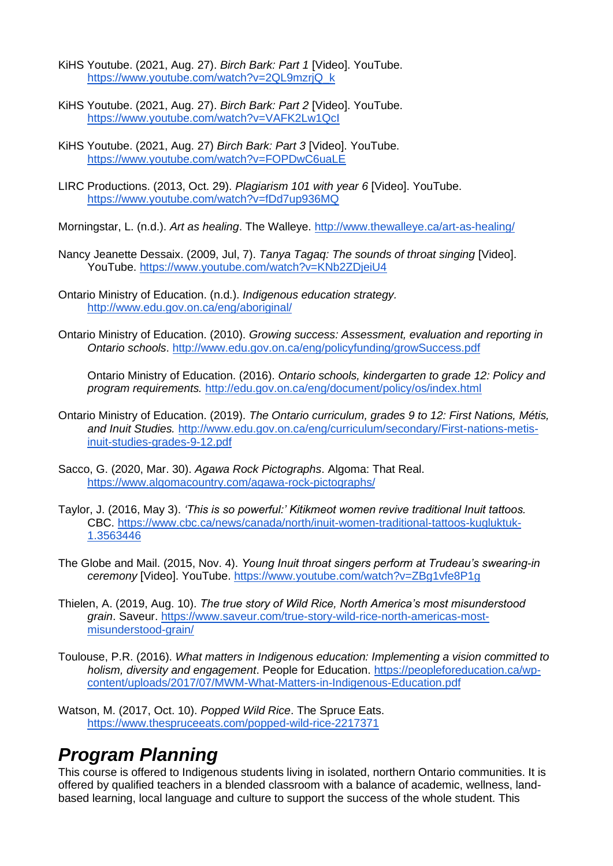- KiHS Youtube. (2021, Aug. 27). *Birch Bark: Part 1* [Video]. YouTube. [https://www.youtube.com/watch?v=2QL9mzrjQ\\_k](https://www.youtube.com/watch?v=2QL9mzrjQ_k)
- KiHS Youtube. (2021, Aug. 27). *Birch Bark: Part 2* [Video]. YouTube. <https://www.youtube.com/watch?v=VAFK2Lw1QcI>
- KiHS Youtube. (2021, Aug. 27) *Birch Bark: Part 3* [Video]. YouTube. <https://www.youtube.com/watch?v=FOPDwC6uaLE>
- LIRC Productions. (2013, Oct. 29). *Plagiarism 101 with year 6* [Video]. YouTube. <https://www.youtube.com/watch?v=fDd7up936MQ>
- Morningstar, L. (n.d.). *Art as healing*. The Walleye.<http://www.thewalleye.ca/art-as-healing/>
- Nancy Jeanette Dessaix. (2009, Jul, 7). *Tanya Tagaq: The sounds of throat singing* [Video]. YouTube.<https://www.youtube.com/watch?v=KNb2ZDjeiU4>
- Ontario Ministry of Education. (n.d.). *Indigenous education strategy.* <http://www.edu.gov.on.ca/eng/aboriginal/>
- Ontario Ministry of Education. (2010). *Growing success: Assessment, evaluation and reporting in Ontario schools*.<http://www.edu.gov.on.ca/eng/policyfunding/growSuccess.pdf>

Ontario Ministry of Education. (2016). *Ontario schools, kindergarten to grade 12: Policy and program requirements.* <http://edu.gov.on.ca/eng/document/policy/os/index.html>

- Ontario Ministry of Education. (2019). *The Ontario curriculum, grades 9 to 12: First Nations, Métis, and Inuit Studies.* [http://www.edu.gov.on.ca/eng/curriculum/secondary/First-nations-metis](http://www.edu.gov.on.ca/eng/curriculum/secondary/First-nations-metis-inuit-studies-grades-9-12.pdf)[inuit-studies-grades-9-12.pdf](http://www.edu.gov.on.ca/eng/curriculum/secondary/First-nations-metis-inuit-studies-grades-9-12.pdf)
- Sacco, G. (2020, Mar. 30). *Agawa Rock Pictographs*. Algoma: That Real. <https://www.algomacountry.com/agawa-rock-pictographs/>
- Taylor, J. (2016, May 3). *'This is so powerful:' Kitikmeot women revive traditional Inuit tattoos.*  CBC. [https://www.cbc.ca/news/canada/north/inuit-women-traditional-tattoos-kugluktuk-](https://www.cbc.ca/news/canada/north/inuit-women-traditional-tattoos-kugluktuk-1.3563446)[1.3563446](https://www.cbc.ca/news/canada/north/inuit-women-traditional-tattoos-kugluktuk-1.3563446)
- The Globe and Mail. (2015, Nov. 4). *Young Inuit throat singers perform at Trudeau's swearing-in ceremony* [Video]. YouTube.<https://www.youtube.com/watch?v=ZBg1vfe8P1g>
- Thielen, A. (2019, Aug. 10). *The true story of Wild Rice, North America's most misunderstood grain*. Saveur. [https://www.saveur.com/true-story-wild-rice-north-americas-most](https://www.saveur.com/true-story-wild-rice-north-americas-most-misunderstood-grain/)[misunderstood-grain/](https://www.saveur.com/true-story-wild-rice-north-americas-most-misunderstood-grain/)
- Toulouse, P.R. (2016). *What matters in Indigenous education: Implementing a vision committed to holism, diversity and engagement*. People for Education. [https://peopleforeducation.ca/wp](https://peopleforeducation.ca/wp-content/uploads/2017/07/MWM-What-Matters-in-Indigenous-Education.pdf)[content/uploads/2017/07/MWM-What-Matters-in-Indigenous-Education.pdf](https://peopleforeducation.ca/wp-content/uploads/2017/07/MWM-What-Matters-in-Indigenous-Education.pdf)
- Watson, M. (2017, Oct. 10). *Popped Wild Rice*. The Spruce Eats. <https://www.thespruceeats.com/popped-wild-rice-2217371>

## *Program Planning*

This course is offered to Indigenous students living in isolated, northern Ontario communities. It is offered by qualified teachers in a blended classroom with a balance of academic, wellness, landbased learning, local language and culture to support the success of the whole student. This